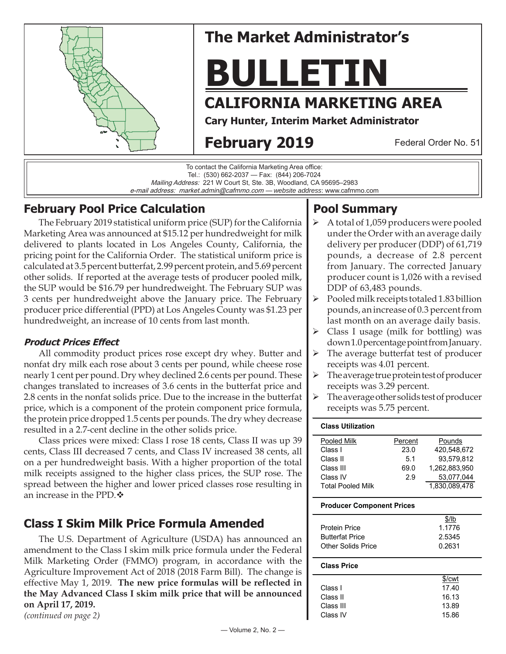

# **The Market Administrator's**

# **BULLETIN**

## **CALIFORNIA MARKETING AREA**

**Cary Hunter, Interim Market Administrator**

# **February 2019**

Federal Order No. 51

To contact the California Marketing Area office: Tel.: (530) 662-2037 — Fax: (844) 206-7024 Mailing Address: 221 W Court St, Ste. 3B, Woodland, CA 95695–2983 e-mail address: market.admin@cafmmo.com — *website address*: www.cafmmo.com

## **February Pool Price Calculation**

The February 2019 statistical uniform price (SUP) for the California Marketing Area was announced at \$15.12 per hundredweight for milk delivered to plants located in Los Angeles County, California, the pricing point for the California Order. The statistical uniform price is calculated at 3.5 percent butterfat, 2.99 percent protein, and 5.69 percent other solids. If reported at the average tests of producer pooled milk, the SUP would be \$16.79 per hundredweight. The February SUP was 3 cents per hundredweight above the January price. The February producer price differential (PPD) at Los Angeles County was \$1.23 per hundredweight, an increase of 10 cents from last month.

#### **Product Prices Effect**

All commodity product prices rose except dry whey. Butter and nonfat dry milk each rose about 3 cents per pound, while cheese rose nearly 1 cent per pound. Dry whey declined 2.6 cents per pound. These changes translated to increases of 3.6 cents in the butterfat price and 2.8 cents in the nonfat solids price. Due to the increase in the butterfat price, which is a component of the protein component price formula, the protein price dropped 1.5 cents per pounds. The dry whey decrease resulted in a 2.7-cent decline in the other solids price.

Class prices were mixed: Class I rose 18 cents, Class II was up 39 cents, Class III decreased 7 cents, and Class IV increased 38 cents, all on a per hundredweight basis. With a higher proportion of the total milk receipts assigned to the higher class prices, the SUP rose. The spread between the higher and lower priced classes rose resulting in an increase in the PPD.

## **Class I Skim Milk Price Formula Amended**

The U.S. Department of Agriculture (USDA) has announced an amendment to the Class I skim milk price formula under the Federal Milk Marketing Order (FMMO) program, in accordance with the Agriculture Improvement Act of 2018 (2018 Farm Bill). The change is effective May 1, 2019. **The new price formulas will be reflected in the May Advanced Class I skim milk price that will be announced on April 17, 2019.**

#### *(continued on page 2)*

## **Pool Summary**

- A total of 1,059 producers were pooled under the Order with an average daily delivery per producer (DDP) of 61,719 pounds, a decrease of 2.8 percent from January. The corrected January producer count is 1,026 with a revised DDP of 63,483 pounds.
- $\triangleright$  Pooled milk receipts totaled 1.83 billion pounds, an increase of 0.3 percent from last month on an average daily basis.
- $\triangleright$  Class I usage (milk for bottling) was down 1.0 percentage point from January.
- $\triangleright$  The average butterfat test of producer receipts was 4.01 percent.
- $\triangleright$  The average true protein test of producer receipts was 3.29 percent.
- $\triangleright$  The average other solids test of producer receipts was 5.75 percent.

| <b>Class Utilization</b> |         |               |
|--------------------------|---------|---------------|
| Pooled Milk              | Percent | Pounds        |
| Class I                  | 23.0    | 420.548.672   |
| Class II                 | 5.1     | 93.579.812    |
| Class III                | 69.0    | 1.262.883.950 |
| Class IV                 | 2.9     | 53,077,044    |
| <b>Total Pooled Milk</b> |         | 1.830.089.478 |

#### **Producer Component Prices**

| <b>Protein Price</b>   | 1.1776 |
|------------------------|--------|
| <b>Butterfat Price</b> | 2.5345 |
| Other Solids Price     | 0.2631 |

#### **Class Price**

|           | \$/ <sub>cut</sub> |
|-----------|--------------------|
| Class I   | 17.40              |
| Class II  | 16.13              |
| Class III | 13.89              |
| Class IV  | 15.86              |
|           |                    |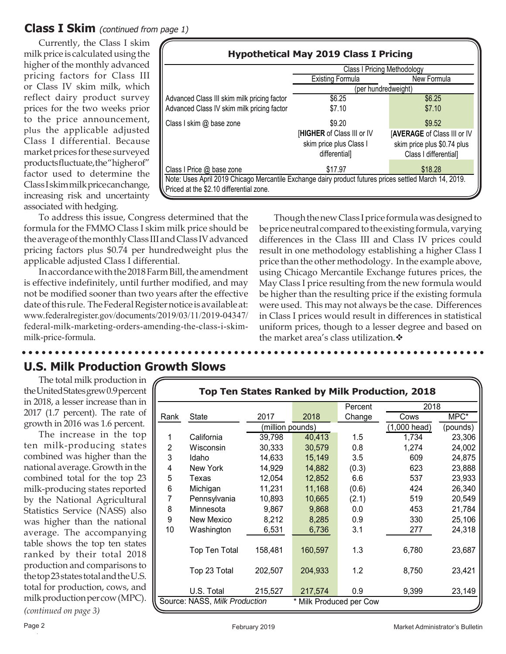#### **Class I Skim** (continued from page 1)

Currently, the Class I skim milk price is calculated using the higher of the monthly advanced pricing factors for Class III or Class IV skim milk, which reflect dairy product survey prices for the two weeks prior to the price announcement, plus the applicable adjusted Class I differential. Because market prices for these surveyed products fluctuate, the "higher of" factor used to determine the Class I skim milk price can change, increasing risk and uncertainty associated with hedging.

|                                             | <b>Class I Pricing Methodology</b>     |                             |  |  |
|---------------------------------------------|----------------------------------------|-----------------------------|--|--|
|                                             | New Formula<br><b>Existing Formula</b> |                             |  |  |
|                                             | (per hundredweight)                    |                             |  |  |
| Advanced Class III skim milk pricing factor | \$6.25                                 | \$6.25                      |  |  |
| Advanced Class IV skim milk pricing factor  | \$7.10                                 | \$7.10                      |  |  |
| Class I skim @ base zone                    | \$9.20                                 | \$9.52                      |  |  |
|                                             | [HIGHER of Class III or IV             | [AVERAGE of Class III or IV |  |  |
|                                             | skim price plus Class I                | skim price plus \$0.74 plus |  |  |
|                                             | differential]                          | Class I differential]       |  |  |
| Class I Price @ base zone                   | \$17.97                                | \$18.28                     |  |  |

To address this issue, Congress determined that the formula for the FMMO Class I skim milk price should be the average of the monthly Class III and Class IV advanced pricing factors plus \$0.74 per hundredweight plus the applicable adjusted Class I differential.

In accordance with the 2018 Farm Bill, the amendment is effective indefinitely, until further modified, and may not be modified sooner than two years after the effective date of this rule. The Federal Register notice is available at: www.federalregister.gov/documents/2019/03/11/2019-04347/ federal-milk-marketing-orders-amending-the-class-i-skimmilk-price-formula.

Though the new Class I price formula was designed to be price neutral compared to the existing formula, varying differences in the Class III and Class IV prices could result in one methodology establishing a higher Class I price than the other methodology. In the example above, using Chicago Mercantile Exchange futures prices, the May Class I price resulting from the new formula would be higher than the resulting price if the existing formula were used. This may not always be the case. Differences in Class I prices would result in differences in statistical uniform prices, though to a lesser degree and based on the market area's class utilization. $\mathbf{\hat{*}}$ 

## **U.S. Milk Production Growth Slows**

The total milk production in the United States grew 0.9 percent in 2018, a lesser increase than in 2017 (1.7 percent). The rate of growth in 2016 was 1.6 percent.

The increase in the top ten milk-producing states combined was higher than the national average. Growth in the combined total for the top 23 milk-producing states reported by the National Agricultural Statistics Service (NASS) also was higher than the national average. The accompanying table shows the top ten states ranked by their total 2018 production and comparisons to the top 23 states total and the U.S. total for production, cows, and milk production per cow (MPC). *(continued on page 3)*

| <b>Top Ten States Ranked by Milk Production, 2018</b>    |                      |         |                  |         |       |          |
|----------------------------------------------------------|----------------------|---------|------------------|---------|-------|----------|
|                                                          |                      |         |                  | Percent | 2018  |          |
| Rank                                                     | State                | 2017    | 2018             | Change  | Cows  | MPC*     |
|                                                          |                      |         | (million pounds) |         |       | (pounds) |
| 1                                                        | California           | 39,798  | 40,413           | 1.5     | 1,734 | 23,306   |
| 2                                                        | Wisconsin            | 30,333  | 30,579           | 0.8     | 1,274 | 24,002   |
| 3                                                        | Idaho                | 14,633  | 15,149           | 3.5     | 609   | 24,875   |
| 4                                                        | New York             | 14,929  | 14,882           | (0.3)   | 623   | 23,888   |
| 5                                                        | Texas                | 12,054  | 12,852           | 6.6     | 537   | 23,933   |
| 6                                                        | Michigan             | 11,231  | 11,168           | (0.6)   | 424   | 26,340   |
| 7                                                        | Pennsylvania         | 10,893  | 10.665           | (2.1)   | 519   | 20,549   |
| 8                                                        | Minnesota            | 9,867   | 9,868            | 0.0     | 453   | 21,784   |
| 9                                                        | New Mexico           | 8,212   | 8,285            | 0.9     | 330   | 25,106   |
| 10                                                       | Washington           | 6,531   | 6,736            | 3.1     | 277   | 24,318   |
|                                                          | <b>Top Ten Total</b> | 158,481 | 160,597          | 1.3     | 6,780 | 23,687   |
|                                                          | Top 23 Total         | 202,507 | 204,933          | 1.2     | 8,750 | 23,421   |
|                                                          | U.S. Total           | 215,527 | 217,574          | 0.9     | 9,399 | 23,149   |
| Source: NASS, Milk Production<br>* Milk Produced per Cow |                      |         |                  |         |       |          |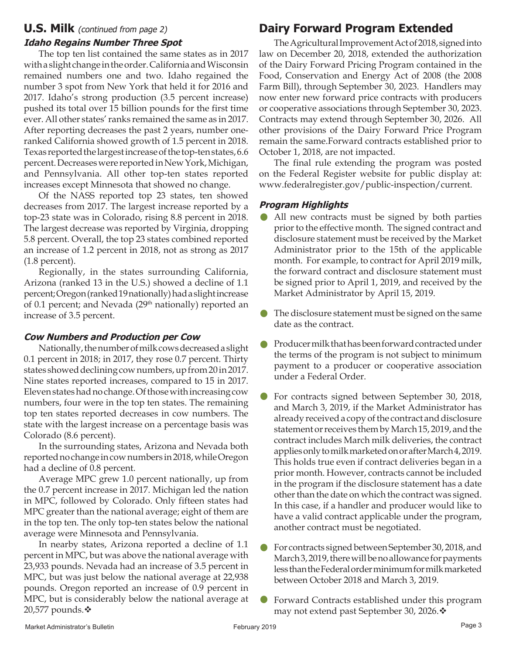#### **Idaho Regains Number Three Spot U.S. Milk** (continued from page 2)

The top ten list contained the same states as in 2017 with a slight change in the order. California and Wisconsin remained numbers one and two. Idaho regained the number 3 spot from New York that held it for 2016 and 2017. Idaho's strong production (3.5 percent increase) pushed its total over 15 billion pounds for the first time ever. All other states' ranks remained the same as in 2017. After reporting decreases the past 2 years, number oneranked California showed growth of 1.5 percent in 2018. Texas reported the largest increase of the top-ten states, 6.6 percent. Decreases were reported in New York, Michigan, and Pennsylvania. All other top-ten states reported increases except Minnesota that showed no change.

Of the NASS reported top 23 states, ten showed decreases from 2017. The largest increase reported by a top-23 state was in Colorado, rising 8.8 percent in 2018. The largest decrease was reported by Virginia, dropping 5.8 percent. Overall, the top 23 states combined reported an increase of 1.2 percent in 2018, not as strong as 2017 (1.8 percent).

Regionally, in the states surrounding California, Arizona (ranked 13 in the U.S.) showed a decline of 1.1 percent; Oregon (ranked 19 nationally) had a slight increase of 0.1 percent; and Nevada (29<sup>th</sup> nationally) reported an increase of 3.5 percent.

#### **Cow Numbers and Production per Cow**

Nationally, the number of milk cows decreased a slight 0.1 percent in 2018; in 2017, they rose 0.7 percent. Thirty states showed declining cow numbers, up from 20 in 2017. Nine states reported increases, compared to 15 in 2017. Eleven states had no change. Of those with increasing cow numbers, four were in the top ten states. The remaining top ten states reported decreases in cow numbers. The state with the largest increase on a percentage basis was Colorado (8.6 percent).

In the surrounding states, Arizona and Nevada both reported no change in cow numbers in 2018, while Oregon had a decline of 0.8 percent.

Average MPC grew 1.0 percent nationally, up from the 0.7 percent increase in 2017. Michigan led the nation in MPC, followed by Colorado. Only fifteen states had MPC greater than the national average; eight of them are in the top ten. The only top-ten states below the national average were Minnesota and Pennsylvania.

In nearby states, Arizona reported a decline of 1.1 percent in MPC, but was above the national average with 23,933 pounds. Nevada had an increase of 3.5 percent in MPC, but was just below the national average at 22,938 pounds. Oregon reported an increase of 0.9 percent in MPC, but is considerably below the national average at 20,577 pounds. ❖

## **Dairy Forward Program Extended**

The Agricultural Improvement Act of 2018, signed into law on December 20, 2018, extended the authorization of the Dairy Forward Pricing Program contained in the Food, Conservation and Energy Act of 2008 (the 2008 Farm Bill), through September 30, 2023. Handlers may now enter new forward price contracts with producers or cooperative associations through September 30, 2023. Contracts may extend through September 30, 2026. All other provisions of the Dairy Forward Price Program remain the same.Forward contracts established prior to October 1, 2018, are not impacted.

The final rule extending the program was posted on the Federal Register website for public display at: www.federalregister.gov/public-inspection/current.

#### **Program Highlights**

- All new contracts must be signed by both parties prior to the effective month. The signed contract and disclosure statement must be received by the Market Administrator prior to the 15th of the applicable month. For example, to contract for April 2019 milk, the forward contract and disclosure statement must be signed prior to April 1, 2019, and received by the Market Administrator by April 15, 2019. •
- The disclosure statement must be signed on the same date as the contract. •
- Producer milk that has been forward contracted under the terms of the program is not subject to minimum payment to a producer or cooperative association under a Federal Order. •
- For contracts signed between September 30, 2018, and March 3, 2019, if the Market Administrator has already received a copy of the contract and disclosure statement or receives them by March 15, 2019, and the contract includes March milk deliveries, the contract applies only to milk marketed on or after March 4, 2019. This holds true even if contract deliveries began in a prior month. However, contracts cannot be included in the program if the disclosure statement has a date other than the date on which the contract was signed. In this case, if a handler and producer would like to have a valid contract applicable under the program, another contract must be negotiated. •
- For contracts signed between September 30, 2018, and March 3, 2019, there will be no allowance for payments less than the Federal order minimum for milk marketed between October 2018 and March 3, 2019. •
- Forward Contracts established under this program may not extend past September 30, 2026. •